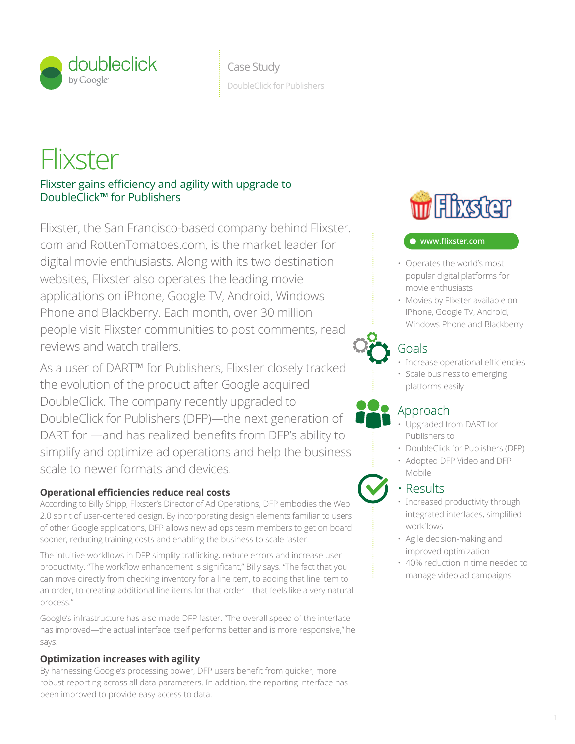

# **Flixster**

Flixster gains efficiency and agility with upgrade to DoubleClick™ for Publishers

websites, Flixster also operates the leading movie example and popular digital pla Flixster, the San Francisco-based company behind Flixster. The Company of the San Francisco-based company behind Flixster. people visit Flixster communities to post comments, read com and RottenTomatoes.com, is the market leader for digital movie enthusiasts. Along with its two destination applications on iPhone, Google TV, Android, Windows Phone and Blackberry. Each month, over 30 million reviews and watch trailers.

> As a user of DART™ for Publishers, Flixster closely tracked transparency audience data shopping audience control search cross channel DoubleClick for Publishers (DFP)—the next generation of the evolution of the product after Google acquired DoubleClick. The company recently upgraded to DART for —and has realized benefits from DFP's ability to simplify and optimize ad operations and help the business scale to newer formats and devices.

## **Operational efficiencies reduce real costs**

According to Billy Shipp, Flixster's Director of Ad Operations, DFP embodies the Web 2.0 spirit of user-centered design. By incorporating design elements familiar to users of other Google applications, DFP allows new ad ops team members to get on board sooner, reducing training costs and enabling the business to scale faster.

The intuitive workflows in DFP simplify trafficking, reduce errors and increase user productivity. "The workflow enhancement is significant," Billy says. "The fact that you can move directly from checking inventory for a line item, to adding that line item to an order, to creating additional line items for that order—that feels like a very natural process."

Google's infrastructure has also made DFP faster. "The overall speed of the interface has improved—the actual interface itself performs better and is more responsive," he says.

## **Optimization increases with agility**

By harnessing Google's processing power, DFP users benefit from quicker, more robust reporting across all data parameters. In addition, the reporting interface has been improved to provide easy access to data.



#### **www.fl ixster.com** publisher agency advertiser real time bidding reservation

- Operates the world's most popular digital platforms for movie enthusiasts
- Movies by Flixster available on iPhone, Google TV, Android, analytics (Sunnel and Blackberry analytics) windows Phone and Blackberry

# Goals

cross format video and the cross format video and the cross format video and the cross of the cross of the cross

- Increase operational efficiencies
- Scale business to emerging platforms easily

# Approach

- Upgraded from DART for Publishers to  $t = \text{min}$ 
	- DoubleClick for Publishers (DFP)
	- Adopted DFP Video and DFP Mobile

# • Results

attribution

- Increased productivity through  $\frac{1}{2}$  integrated interfaces, simplified ents familiar to users  $\frac{1}{2}$  integrated interfaces, simplified workflows
	- Agile decision-making and improved optimization where  $\mathbf{r}$  is a set in the polynomial and analytics optimization optimization optimization optimization optimization optimization optimization optimization optimization optimization optimization optimization optimizat
	- 40% reduction in time needed to manage video ad campaigns